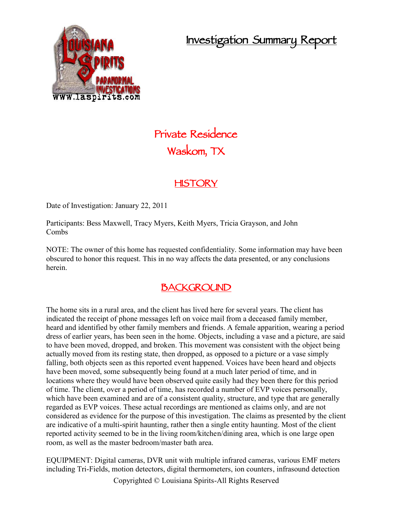## **Investigation Summary Report**



# **Private Residence Waskom, TX**

### **HISTORY**

Date of Investigation: January 22, 2011

Participants: Bess Maxwell, Tracy Myers, Keith Myers, Tricia Grayson, and John Combs

NOTE: The owner of this home has requested confidentiality. Some information may have been obscured to honor this request. This in no way affects the data presented, or any conclusions herein.

#### **BACKGROUND**

The home sits in a rural area, and the client has lived here for several years. The client has indicated the receipt of phone messages left on voice mail from a deceased family member, heard and identified by other family members and friends. A female apparition, wearing a period dress of earlier years, has been seen in the home. Objects, including a vase and a picture, are said to have been moved, dropped, and broken. This movement was consistent with the object being actually moved from its resting state, then dropped, as opposed to a picture or a vase simply falling, both objects seen as this reported event happened. Voices have been heard and objects have been moved, some subsequently being found at a much later period of time, and in locations where they would have been observed quite easily had they been there for this period of time. The client, over a period of time, has recorded a number of EVP voices personally, which have been examined and are of a consistent quality, structure, and type that are generally regarded as EVP voices. These actual recordings are mentioned as claims only, and are not considered as evidence for the purpose of this investigation. The claims as presented by the client are indicative of a multi-spirit haunting, rather then a single entity haunting. Most of the client reported activity seemed to be in the living room/kitchen/dining area, which is one large open room, as well as the master bedroom/master bath area.

EQUIPMENT: Digital cameras, DVR unit with multiple infrared cameras, various EMF meters including Tri-Fields, motion detectors, digital thermometers, ion counters, infrasound detection

Copyrighted © Louisiana Spirits-All Rights Reserved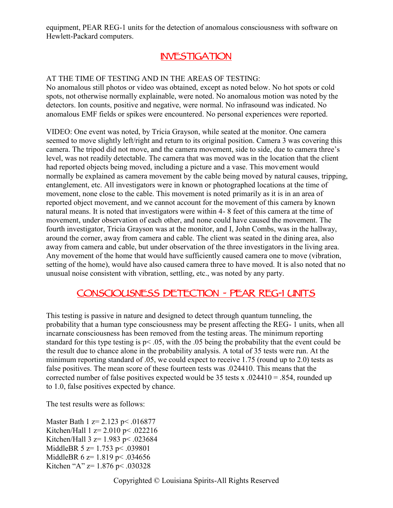equipment, PEAR REG-1 units for the detection of anomalous consciousness with software on Hewlett-Packard computers.

#### **INVESTIGATION**

#### AT THE TIME OF TESTING AND IN THE AREAS OF TESTING:

No anomalous still photos or video was obtained, except as noted below. No hot spots or cold spots, not otherwise normally explainable, were noted. No anomalous motion was noted by the detectors. Ion counts, positive and negative, were normal. No infrasound was indicated. No anomalous EMF fields or spikes were encountered. No personal experiences were reported.

VIDEO: One event was noted, by Tricia Grayson, while seated at the monitor. One camera seemed to move slightly left/right and return to its original position. Camera 3 was covering this camera. The tripod did not move, and the camera movement, side to side, due to camera three's level, was not readily detectable. The camera that was moved was in the location that the client had reported objects being moved, including a picture and a vase. This movement would normally be explained as camera movement by the cable being moved by natural causes, tripping, entanglement, etc. All investigators were in known or photographed locations at the time of movement, none close to the cable. This movement is noted primarily as it is in an area of reported object movement, and we cannot account for the movement of this camera by known natural means. It is noted that investigators were within 4- 8 feet of this camera at the time of movement, under observation of each other, and none could have caused the movement. The fourth investigator, Tricia Grayson was at the monitor, and I, John Combs, was in the hallway, around the corner, away from camera and cable. The client was seated in the dining area, also away from camera and cable, but under observation of the three investigators in the living area. Any movement of the home that would have sufficiently caused camera one to move (vibration, setting of the home), would have also caused camera three to have moved. It is also noted that no unusual noise consistent with vibration, settling, etc., was noted by any party.

#### **CONSCIOUSNESS DETECTION - PEAR REG-1 UNITS**

This testing is passive in nature and designed to detect through quantum tunneling, the probability that a human type consciousness may be present affecting the REG- 1 units, when all incarnate consciousness has been removed from the testing areas. The minimum reporting standard for this type testing is p< .05, with the .05 being the probability that the event could be the result due to chance alone in the probability analysis. A total of 35 tests were run. At the minimum reporting standard of .05, we could expect to receive 1.75 (round up to 2.0) tests as false positives. The mean score of these fourteen tests was .024410. This means that the corrected number of false positives expected would be 35 tests x .024410 = .854, rounded up to 1.0, false positives expected by chance.

The test results were as follows:

Master Bath 1 z= 2.123 p < .016877 Kitchen/Hall 1 z= 2.010 p< .022216 Kitchen/Hall 3 z= 1.983 p< .023684 MiddleBR 5 z= 1.753 p < .039801 MiddleBR 6 z= 1.819 p < .034656 Kitchen "A" z= 1.876 p< .030328

Copyrighted © Louisiana Spirits-All Rights Reserved